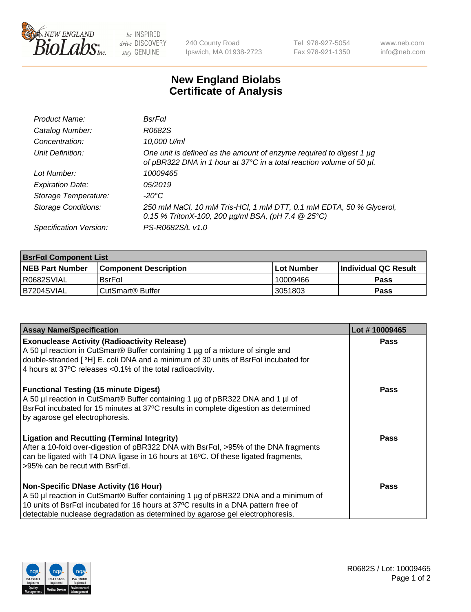

 $be$  INSPIRED drive DISCOVERY stay GENUINE

240 County Road Ipswich, MA 01938-2723 Tel 978-927-5054 Fax 978-921-1350 www.neb.com info@neb.com

## **New England Biolabs Certificate of Analysis**

| Product Name:              | BsrFal                                                                                                                                      |
|----------------------------|---------------------------------------------------------------------------------------------------------------------------------------------|
| Catalog Number:            | R0682S                                                                                                                                      |
| Concentration:             | 10,000 U/ml                                                                                                                                 |
| Unit Definition:           | One unit is defined as the amount of enzyme required to digest 1 µg<br>of pBR322 DNA in 1 hour at 37°C in a total reaction volume of 50 µl. |
| Lot Number:                | 10009465                                                                                                                                    |
| <b>Expiration Date:</b>    | 05/2019                                                                                                                                     |
| Storage Temperature:       | -20°C                                                                                                                                       |
| <b>Storage Conditions:</b> | 250 mM NaCl, 10 mM Tris-HCl, 1 mM DTT, 0.1 mM EDTA, 50 % Glycerol,<br>0.15 % TritonX-100, 200 $\mu$ g/ml BSA, (pH 7.4 $\circledR$ 25°C)     |
| Specification Version:     | PS-R0682S/L v1.0                                                                                                                            |

| <b>BsrFal Component List</b> |                              |              |                             |  |  |
|------------------------------|------------------------------|--------------|-----------------------------|--|--|
| <b>NEB Part Number</b>       | <b>Component Description</b> | l Lot Number | <b>Individual QC Result</b> |  |  |
| I R0682SVIAL                 | $BsrF\alpha I$               | 10009466     | <b>Pass</b>                 |  |  |
| B7204SVIAL                   | l CutSmart® Buffer           | 3051803      | Pass                        |  |  |

| <b>Assay Name/Specification</b>                                                                                                                                                                                                                                                            | Lot #10009465 |
|--------------------------------------------------------------------------------------------------------------------------------------------------------------------------------------------------------------------------------------------------------------------------------------------|---------------|
| <b>Exonuclease Activity (Radioactivity Release)</b><br>A 50 µl reaction in CutSmart® Buffer containing 1 µg of a mixture of single and<br>double-stranded [3H] E. coli DNA and a minimum of 30 units of BsrFal incubated for<br>4 hours at 37°C releases <0.1% of the total radioactivity. | Pass          |
| <b>Functional Testing (15 minute Digest)</b><br>A 50 µl reaction in CutSmart® Buffer containing 1 µg of pBR322 DNA and 1 µl of<br>BsrFal incubated for 15 minutes at 37°C results in complete digestion as determined<br>by agarose gel electrophoresis.                                   | Pass          |
| <b>Ligation and Recutting (Terminal Integrity)</b><br>After a 10-fold over-digestion of pBR322 DNA with BsrFal, >95% of the DNA fragments<br>can be ligated with T4 DNA ligase in 16 hours at 16°C. Of these ligated fragments,<br>$>95\%$ can be recut with BsrFal.                       | Pass          |
| <b>Non-Specific DNase Activity (16 Hour)</b>                                                                                                                                                                                                                                               | Pass          |
| A 50 µl reaction in CutSmart <sup>®</sup> Buffer containing 1 µg of pBR322 DNA and a minimum of                                                                                                                                                                                            |               |
| 10 units of BsrFaI incubated for 16 hours at 37°C results in a DNA pattern free of<br>detectable nuclease degradation as determined by agarose gel electrophoresis.                                                                                                                        |               |